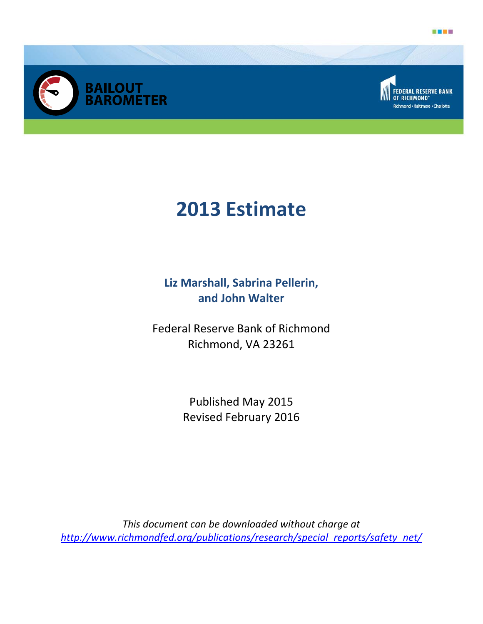





# **2013 Estimate**

**Liz Marshall, Sabrina Pellerin, and John Walter** 

Federal Reserve Bank of Richmond Richmond, VA 23261

> Published May 2015 Revised February 2016

*This document can be downloaded without charge at http://www.richmondfed.org/publications/research/special\_reports/safety\_net/*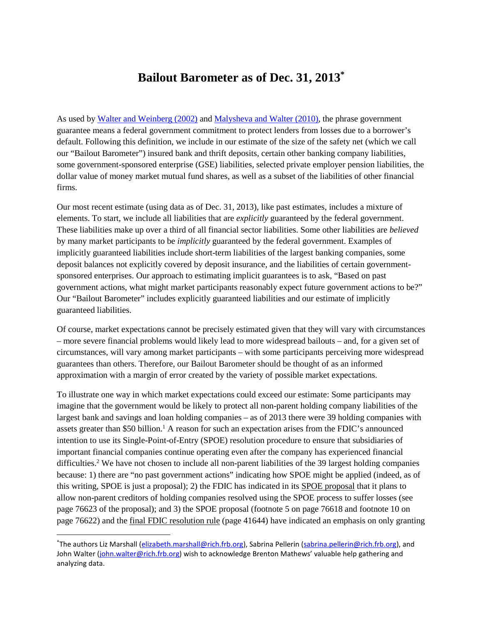## **Bailout Barometer as of Dec. 31, 2013\***

As used b[y Walter and Weinberg \(2002\)](http://www.cato.org/sites/cato.org/files/serials/files/cato-journal/2002/1/cj21n3-2.pdf) and [Malysheva and Walter \(2010\),](http://www.richmondfed.org/publications/research/economic_quarterly/2010/q3/pdf/walter.pdf) the phrase government guarantee means a federal government commitment to protect lenders from losses due to a borrower's default. Following this definition, we include in our estimate of the size of the safety net (which we call our "Bailout Barometer") insured bank and thrift deposits, certain other banking company liabilities, some government-sponsored enterprise (GSE) liabilities, selected private employer pension liabilities, the dollar value of money market mutual fund shares, as well as a subset of the liabilities of other financial firms.

Our most recent estimate (using data as of Dec. 31, 2013), like past estimates, includes a mixture of elements. To start, we include all liabilities that are *explicitly* guaranteed by the federal government. These liabilities make up over a third of all financial sector liabilities. Some other liabilities are *believed* by many market participants to be *implicitly* guaranteed by the federal government. Examples of implicitly guaranteed liabilities include short-term liabilities of the largest banking companies, some deposit balances not explicitly covered by deposit insurance, and the liabilities of certain governmentsponsored enterprises. Our approach to estimating implicit guarantees is to ask, "Based on past government actions, what might market participants reasonably expect future government actions to be?" Our "Bailout Barometer" includes explicitly guaranteed liabilities and our estimate of implicitly guaranteed liabilities.

Of course, market expectations cannot be precisely estimated given that they will vary with circumstances – more severe financial problems would likely lead to more widespread bailouts – and, for a given set of circumstances, will vary among market participants – with some participants perceiving more widespread guarantees than others. Therefore, our Bailout Barometer should be thought of as an informed approximation with a margin of error created by the variety of possible market expectations.

To illustrate one way in which market expectations could exceed our estimate: Some participants may imagine that the government would be likely to protect all non-parent holding company liabilities of the largest bank and savings and loan holding companies – as of 2013 there were 39 holding companies with assets greater than \$50 billion.<sup>1</sup> A reason for such an expectation arises from the FDIC's announced intention to use its Single-Point-of-Entry (SPOE) resolution procedure to ensure that subsidiaries of important financial companies continue operating even after the company has experienced financial difficulties.<sup>2</sup> We have not chosen to include all non-parent liabilities of the 39 largest holding companies because: 1) there are "no past government actions" indicating how SPOE might be applied (indeed, as of this writing, SPOE is just a proposal); 2) the FDIC has indicated in its [SPOE proposal](http://www.gpo.gov/fdsys/pkg/FR-2013-12-18/pdf/2013-30057.pdf) that it plans to allow non-parent creditors of holding companies resolved using the SPOE process to suffer losses (see page 76623 of the proposal); and 3) the SPOE proposal (footnote 5 on page 76618 and footnote 10 on page 76622) and the [final FDIC resolution rule](https://www.fdic.gov/regulations/laws/federal/2011/11finaljuly15.pdf) (page 41644) have indicated an emphasis on only granting

 <sup>\*</sup> The authors Liz Marshall [\(elizabeth.marshall@rich.frb.org\)](mailto:elizabeth.marshall@rich.frb.org), Sabrina Pellerin [\(sabrina.pellerin@rich.frb.org\)](mailto:sabrina.pellerin@rich.frb.org), and John Walter [\(john.walter@rich.frb.org\)](mailto:john.walter@rich.frb.org) wish to acknowledge Brenton Mathews' valuable help gathering and analyzing data.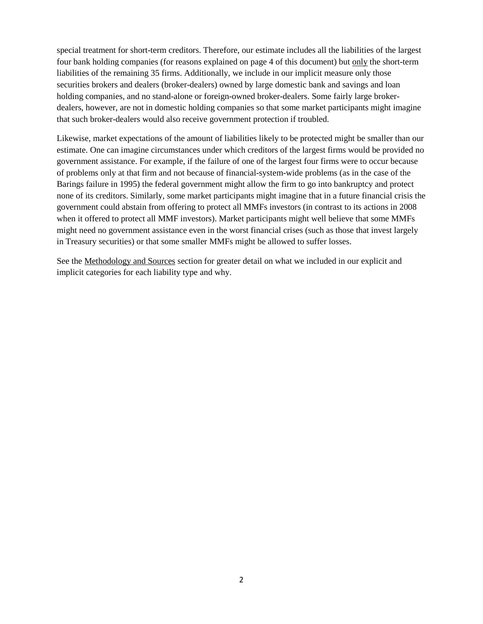special treatment for short-term creditors. Therefore, our estimate includes all the liabilities of the largest four bank holding companies (for reasons explained on page 4 of this document) but only the short-term liabilities of the remaining 35 firms. Additionally, we include in our implicit measure only those securities brokers and dealers (broker-dealers) owned by large domestic bank and savings and loan holding companies, and no stand-alone or foreign-owned broker-dealers. Some fairly large brokerdealers, however, are not in domestic holding companies so that some market participants might imagine that such broker-dealers would also receive government protection if troubled.

Likewise, market expectations of the amount of liabilities likely to be protected might be smaller than our estimate. One can imagine circumstances under which creditors of the largest firms would be provided no government assistance. For example, if the failure of one of the largest four firms were to occur because of problems only at that firm and not because of financial-system-wide problems (as in the case of the Barings failure in 1995) the federal government might allow the firm to go into bankruptcy and protect none of its creditors. Similarly, some market participants might imagine that in a future financial crisis the government could abstain from offering to protect all MMFs investors (in contrast to its actions in 2008 when it offered to protect all MMF investors). Market participants might well believe that some MMFs might need no government assistance even in the worst financial crises (such as those that invest largely in Treasury securities) or that some smaller MMFs might be allowed to suffer losses.

See the Methodology and Sources section for greater detail on what we included in our explicit and implicit categories for each liability type and why.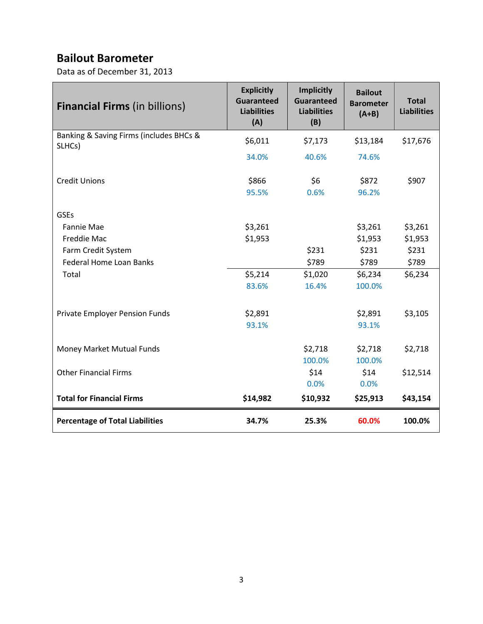# **Bailout Barometer**

Data as of December 31, 2013

| <b>Financial Firms (in billions)</b>    | <b>Explicitly</b><br><b>Guaranteed</b><br><b>Liabilities</b><br>(A) | <b>Implicitly</b><br><b>Guaranteed</b><br><b>Liabilities</b><br>(B) | <b>Bailout</b><br><b>Barometer</b><br>$(A+B)$ | <b>Total</b><br><b>Liabilities</b> |
|-----------------------------------------|---------------------------------------------------------------------|---------------------------------------------------------------------|-----------------------------------------------|------------------------------------|
| Banking & Saving Firms (includes BHCs & | \$6,011                                                             | \$7,173                                                             | \$13,184                                      | \$17,676                           |
| SLHCs)                                  | 34.0%                                                               | 40.6%                                                               | 74.6%                                         |                                    |
| <b>Credit Unions</b>                    | \$866                                                               | \$6                                                                 | \$872                                         | \$907                              |
|                                         | 95.5%                                                               | 0.6%                                                                | 96.2%                                         |                                    |
| <b>GSEs</b>                             |                                                                     |                                                                     |                                               |                                    |
| Fannie Mae                              | \$3,261                                                             |                                                                     | \$3,261                                       | \$3,261                            |
| Freddie Mac                             | \$1,953                                                             |                                                                     | \$1,953                                       | \$1,953                            |
| Farm Credit System                      |                                                                     | \$231                                                               | \$231                                         | \$231                              |
| <b>Federal Home Loan Banks</b>          |                                                                     | \$789                                                               | \$789                                         | \$789                              |
| Total                                   | \$5,214                                                             | \$1,020                                                             | \$6,234                                       | \$6,234                            |
|                                         | 83.6%                                                               | 16.4%                                                               | 100.0%                                        |                                    |
| Private Employer Pension Funds          | \$2,891                                                             |                                                                     | \$2,891                                       | \$3,105                            |
|                                         | 93.1%                                                               |                                                                     | 93.1%                                         |                                    |
| Money Market Mutual Funds               |                                                                     | \$2,718                                                             | \$2,718                                       | \$2,718                            |
|                                         |                                                                     | 100.0%                                                              | 100.0%                                        |                                    |
| <b>Other Financial Firms</b>            |                                                                     | \$14                                                                | \$14                                          | \$12,514                           |
|                                         |                                                                     | 0.0%                                                                | 0.0%                                          |                                    |
| <b>Total for Financial Firms</b>        | \$14,982                                                            | \$10,932                                                            | \$25,913                                      | \$43,154                           |
| <b>Percentage of Total Liabilities</b>  | 34.7%                                                               | 25.3%                                                               | 60.0%                                         | 100.0%                             |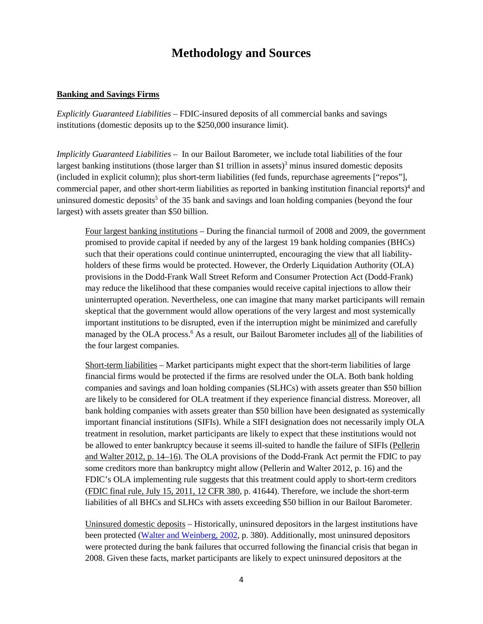## **Methodology and Sources**

#### **Banking and Savings Firms**

*Explicitly Guaranteed Liabilities –* FDIC-insured deposits of all commercial banks and savings institutions (domestic deposits up to the \$250,000 insurance limit).

*Implicitly Guaranteed Liabilities –* In our Bailout Barometer, we include total liabilities of the four largest banking institutions (those larger than \$1 trillion in assets)<sup>3</sup> minus insured domestic deposits (included in explicit column); plus short-term liabilities (fed funds, repurchase agreements ["repos"], commercial paper, and other short-term liabilities as reported in banking institution financial reports) <sup>4</sup> and uninsured domestic deposits<sup>5</sup> of the 35 bank and savings and loan holding companies (beyond the four largest) with assets greater than \$50 billion.

Four largest banking institutions – During the financial turmoil of 2008 and 2009, the government promised to provide capital if needed by any of the largest 19 bank holding companies (BHCs) such that their operations could continue uninterrupted, encouraging the view that all liabilityholders of these firms would be protected. However, the Orderly Liquidation Authority (OLA) provisions in the Dodd-Frank Wall Street Reform and Consumer Protection Act (Dodd-Frank) may reduce the likelihood that these companies would receive capital injections to allow their uninterrupted operation. Nevertheless, one can imagine that many market participants will remain skeptical that the government would allow operations of the very largest and most systemically important institutions to be disrupted, even if the interruption might be minimized and carefully managed by the OLA process.<sup>6</sup> As a result, our Bailout Barometer includes all of the liabilities of the four largest companies.

Short-term liabilities – Market participants might expect that the short-term liabilities of large financial firms would be protected if the firms are resolved under the OLA. Both bank holding companies and savings and loan holding companies (SLHCs) with assets greater than \$50 billion are likely to be considered for OLA treatment if they experience financial distress. Moreover, all bank holding companies with assets greater than \$50 billion have been designated as systemically important financial institutions (SIFIs). While a SIFI designation does not necessarily imply OLA treatment in resolution, market participants are likely to expect that these institutions would not be allowed to enter bankruptcy because it seems ill-suited to handle the failure of SIFIs [\(Pellerin](http://www.richmondfed.org/publications/research/economic_quarterly/2012/q1/pdf/walter.pdf)  [and Walter 2012, p. 14–16\)](http://www.richmondfed.org/publications/research/economic_quarterly/2012/q1/pdf/walter.pdf). The OLA provisions of the Dodd-Frank Act permit the FDIC to pay some creditors more than bankruptcy might allow (Pellerin and Walter 2012, p. 16) and the FDIC's OLA implementing rule suggests that this treatment could apply to short-term creditors [\(FDIC final rule, July 15, 2011, 12 CFR 380,](http://www.fdic.gov/regulations/laws/federal/2011/11finaljuly15.pdf) p. 41644). Therefore, we include the short-term liabilities of all BHCs and SLHCs with assets exceeding \$50 billion in our Bailout Barometer.

Uninsured domestic deposits – Historically, uninsured depositors in the largest institutions have been protected [\(Walter and Weinberg, 2002,](http://www.cato.org/sites/cato.org/files/serials/files/cato-journal/2002/1/cj21n3-2.pdf) p. 380). Additionally, most uninsured depositors were protected during the bank failures that occurred following the financial crisis that began in 2008. Given these facts, market participants are likely to expect uninsured depositors at the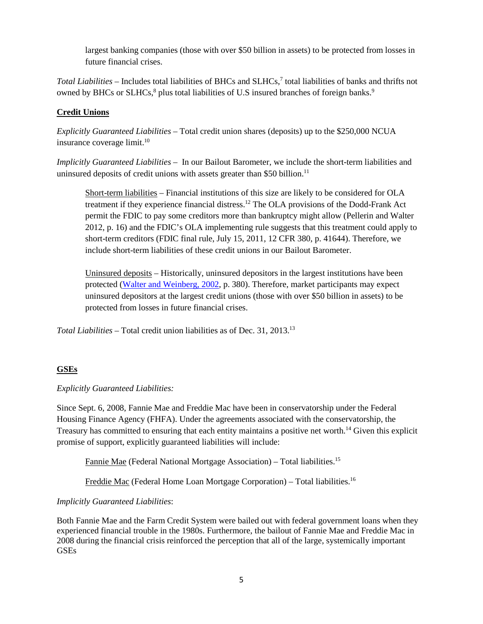largest banking companies (those with over \$50 billion in assets) to be protected from losses in future financial crises.

*Total Liabilities* – Includes total liabilities of BHCs and SLHCs,7 total liabilities of banks and thrifts not owned by BHCs or SLHCs,<sup>8</sup> plus total liabilities of U.S insured branches of foreign banks.<sup>9</sup>

#### **Credit Unions**

*Explicitly Guaranteed Liabilities* – Total credit union shares (deposits) up to the \$250,000 NCUA insurance coverage limit.<sup>10</sup>

*Implicitly Guaranteed Liabilities* – In our Bailout Barometer, we include the short-term liabilities and uninsured deposits of credit unions with assets greater than \$50 billion.<sup>11</sup>

Short-term liabilities – Financial institutions of this size are likely to be considered for OLA treatment if they experience financial distress. <sup>12</sup> The OLA provisions of the Dodd-Frank Act permit the FDIC to pay some creditors more than bankruptcy might allow (Pellerin and Walter 2012, p. 16) and the FDIC's OLA implementing rule suggests that this treatment could apply to short-term creditors (FDIC final rule, July 15, 2011, 12 CFR 380, p. 41644). Therefore, we include short-term liabilities of these credit unions in our Bailout Barometer.

Uninsured deposits – Historically, uninsured depositors in the largest institutions have been protected [\(Walter and Weinberg, 2002,](http://www.cato.org/sites/cato.org/files/serials/files/cato-journal/2002/1/cj21n3-2.pdf) p. 380). Therefore, market participants may expect uninsured depositors at the largest credit unions (those with over \$50 billion in assets) to be protected from losses in future financial crises.

*Total Liabilities –* Total credit union liabilities as of Dec. 31, 2013. 13

## **GSEs**

*Explicitly Guaranteed Liabilities:*

Since Sept. 6, 2008, Fannie Mae and Freddie Mac have been in conservatorship under the Federal Housing Finance Agency (FHFA). Under the agreements associated with the conservatorship, the Treasury has committed to ensuring that each entity maintains a positive net worth.14 Given this explicit promise of support, explicitly guaranteed liabilities will include:

Fannie Mae (Federal National Mortgage Association) - Total liabilities.<sup>15</sup>

Freddie Mac (Federal Home Loan Mortgage Corporation) - Total liabilities.<sup>16</sup>

#### *Implicitly Guaranteed Liabilities*:

Both Fannie Mae and the Farm Credit System were bailed out with federal government loans when they experienced financial trouble in the 1980s. Furthermore, the bailout of Fannie Mae and Freddie Mac in 2008 during the financial crisis reinforced the perception that all of the large, systemically important GSEs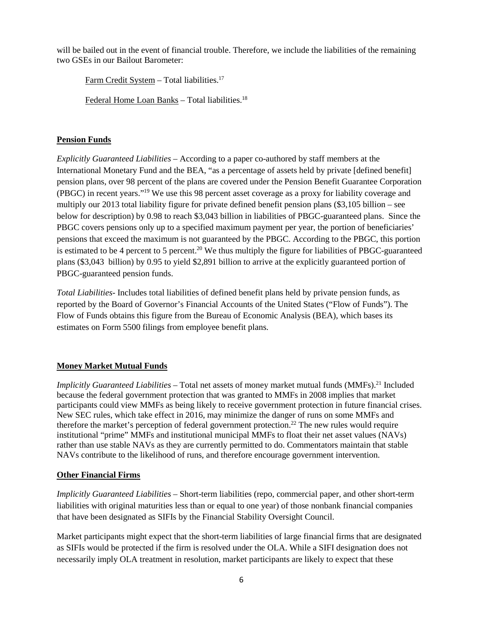will be bailed out in the event of financial trouble. Therefore, we include the liabilities of the remaining two GSEs in our Bailout Barometer:

Farm Credit System - Total liabilities.<sup>17</sup>

Federal Home Loan Banks – Total liabilities. 18

#### **Pension Funds**

*Explicitly Guaranteed Liabilities* – According to a paper co-authored by staff members at the International Monetary Fund and the BEA, "as a percentage of assets held by private [defined benefit] pension plans, over 98 percent of the plans are covered under the Pension Benefit Guarantee Corporation (PBGC) in recent years."19 We use this 98 percent asset coverage as a proxy for liability coverage and multiply our 2013 total liability figure for private defined benefit pension plans (\$3,105 billion – see below for description) by 0.98 to reach \$3,043 billion in liabilities of PBGC-guaranteed plans. Since the PBGC covers pensions only up to a specified maximum payment per year, the portion of beneficiaries' pensions that exceed the maximum is not guaranteed by the PBGC. According to the PBGC, this portion is estimated to be 4 percent to 5 percent.<sup>20</sup> We thus multiply the figure for liabilities of PBGC-guaranteed plans (\$3,043 billion) by 0.95 to yield \$2,891 billion to arrive at the explicitly guaranteed portion of PBGC-guaranteed pension funds.

*Total Liabilities*- Includes total liabilities of defined benefit plans held by private pension funds, as reported by the Board of Governor's Financial Accounts of the United States ("Flow of Funds"). The Flow of Funds obtains this figure from the Bureau of Economic Analysis (BEA), which bases its estimates on Form 5500 filings from employee benefit plans.

## **Money Market Mutual Funds**

*Implicitly Guaranteed Liabilities* – Total net assets of money market mutual funds (MMFs). <sup>21</sup> Included because the federal government protection that was granted to MMFs in 2008 implies that market participants could view MMFs as being likely to receive government protection in future financial crises. New SEC rules, which take effect in 2016, may minimize the danger of runs on some MMFs and therefore the market's perception of federal government protection.<sup>22</sup> The new rules would require institutional "prime" MMFs and institutional municipal MMFs to float their net asset values (NAVs) rather than use stable NAVs as they are currently permitted to do. Commentators maintain that stable NAVs contribute to the likelihood of runs, and therefore encourage government intervention.

## **Other Financial Firms**

*Implicitly Guaranteed Liabilities* – Short-term liabilities (repo, commercial paper, and other short-term liabilities with original maturities less than or equal to one year) of those nonbank financial companies that have been designated as SIFIs by the Financial Stability Oversight Council.

Market participants might expect that the short-term liabilities of large financial firms that are designated as SIFIs would be protected if the firm is resolved under the OLA. While a SIFI designation does not necessarily imply OLA treatment in resolution, market participants are likely to expect that these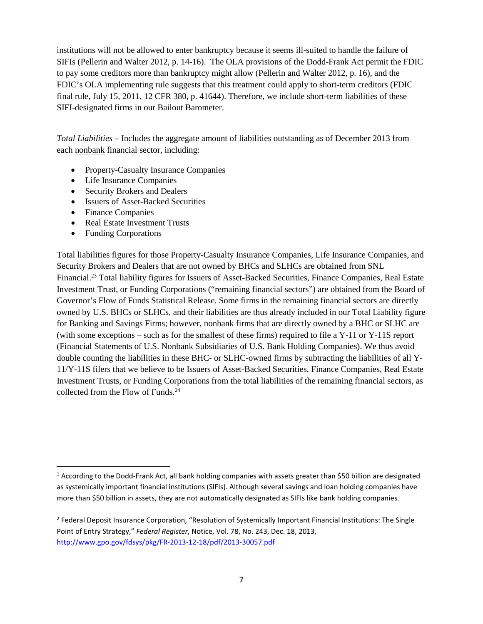institutions will not be allowed to enter bankruptcy because it seems ill-suited to handle the failure of SIFIs [\(Pellerin and Walter 2012, p. 14-16\)](http://www.richmondfed.org/publications/research/economic_quarterly/2012/q1/pdf/walter.pdf). The OLA provisions of the Dodd-Frank Act permit the FDIC to pay some creditors more than bankruptcy might allow (Pellerin and Walter 2012, p. 16), and the FDIC's OLA implementing rule suggests that this treatment could apply to short-term creditors (FDIC final rule, July 15, 2011, 12 CFR 380, p. 41644). Therefore, we include short-term liabilities of these SIFI-designated firms in our Bailout Barometer.

*Total Liabilities* – Includes the aggregate amount of liabilities outstanding as of December 2013 from each nonbank financial sector, including:

- Property-Casualty Insurance Companies
- Life Insurance Companies
- Security Brokers and Dealers
- Issuers of Asset-Backed Securities
- Finance Companies
- Real Estate Investment Trusts
- Funding Corporations

Total liabilities figures for those Property-Casualty Insurance Companies, Life Insurance Companies, and Security Brokers and Dealers that are not owned by BHCs and SLHCs are obtained from SNL Financial.23 Total liability figures for Issuers of Asset-Backed Securities, Finance Companies, Real Estate Investment Trust, or Funding Corporations ("remaining financial sectors") are obtained from the Board of Governor's Flow of Funds Statistical Release. Some firms in the remaining financial sectors are directly owned by U.S. BHCs or SLHCs, and their liabilities are thus already included in our Total Liability figure for Banking and Savings Firms; however, nonbank firms that are directly owned by a BHC or SLHC are (with some exceptions – such as for the smallest of these firms) required to file a  $Y-11$  or  $Y-11S$  report (Financial Statements of U.S. Nonbank Subsidiaries of U.S. Bank Holding Companies). We thus avoid double counting the liabilities in these BHC- or SLHC-owned firms by subtracting the liabilities of all Y-11/Y-11S filers that we believe to be Issuers of Asset-Backed Securities, Finance Companies, Real Estate Investment Trusts, or Funding Corporations from the total liabilities of the remaining financial sectors, as collected from the Flow of Funds.<sup>24</sup>

 $1$  According to the Dodd-Frank Act, all bank holding companies with assets greater than \$50 billion are designated as systemically important financial institutions (SIFIs). Although several savings and loan holding companies have more than \$50 billion in assets, they are not automatically designated as SIFIs like bank holding companies.

<sup>&</sup>lt;sup>2</sup> Federal Deposit Insurance Corporation, "Resolution of Systemically Important Financial Institutions: The Single Point of Entry Strategy," *Federal Register*, Notice, Vol. 78, No. 243, Dec. 18, 2013, <http://www.gpo.gov/fdsys/pkg/FR-2013-12-18/pdf/2013-30057.pdf>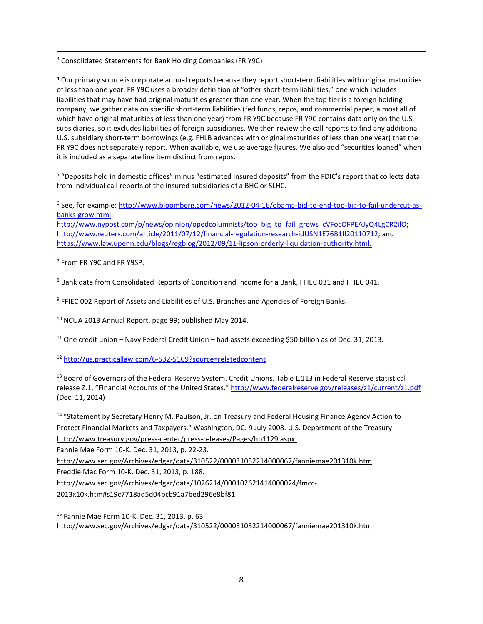3 Consolidated Statements for Bank Holding Companies (FR Y9C)

<sup>4</sup> Our primary source is corporate annual reports because they report short-term liabilities with original maturities of less than one year. FR Y9C uses a broader definition of "other short-term liabilities," one which includes liabilities that may have had original maturities greater than one year. When the top tier is a foreign holding company, we gather data on specific short-term liabilities (fed funds, repos, and commercial paper, almost all of which have original maturities of less than one year) from FR Y9C because FR Y9C contains data only on the U.S. subsidiaries, so it excludes liabilities of foreign subsidiaries. We then review the call reports to find any additional U.S. subsidiary short-term borrowings (e.g. FHLB advances with original maturities of less than one year) that the FR Y9C does not separately report. When available, we use average figures. We also add "securities loaned" when it is included as a separate line item distinct from repos.

<sup>5</sup> "Deposits held in domestic offices" minus "estimated insured deposits" from the FDIC's report that collects data from individual call reports of the insured subsidiaries of a BHC or SLHC.

<sup>6</sup> See, for example[: http://www.bloomberg.com/news/2012-04-16/obama-bid-to-end-too-big-to-fail-undercut-as](http://www.bloomberg.com/news/2012-04-16/obama-bid-to-end-too-big-to-fail-undercut-as-banks-grow.html)[banks-grow.html;](http://www.bloomberg.com/news/2012-04-16/obama-bid-to-end-too-big-to-fail-undercut-as-banks-grow.html) [http://www.nypost.com/p/news/opinion/opedcolumnists/too\\_big\\_to\\_fail\\_grows\\_cVFocOFPEAJyQ4LgCR2ilO;](http://www.nypost.com/p/news/opinion/opedcolumnists/too_big_to_fail_grows_cVFocOFPEAJyQ4LgCR2ilO) [http://www.reuters.com/article/2011/07/12/financial-regulation-research-idUSN1E76B1II20110712;](http://www.reuters.com/article/2011/07/12/financial-regulation-research-idUSN1E76B1II20110712) and

[https://www.law.upenn.edu/blogs/regblog/2012/09/11-lipson-orderly-liquidation-authority.html.](https://www.law.upenn.edu/blogs/regblog/2012/09/11-lipson-orderly-liquidation-authority.html)

<sup>7</sup> From FR Y9C and FR Y9SP.

<sup>8</sup> Bank data from Consolidated Reports of Condition and Income for a Bank, FFIEC 031 and FFIEC 041.

<sup>9</sup> FFIEC 002 Report of Assets and Liabilities of U.S. Branches and Agencies of Foreign Banks.

<sup>10</sup> NCUA 2013 Annual Report, page 99; published May 2014.

 $11$  One credit union – Navy Federal Credit Union – had assets exceeding \$50 billion as of Dec. 31, 2013.

<sup>12</sup> <http://us.practicallaw.com/6-532-5109?source=relatedcontent>

<sup>13</sup> Board of Governors of the Federal Reserve System. Credit Unions, Table L.113 in Federal Reserve statistical release Z.1, "Financial Accounts of the United States." <http://www.federalreserve.gov/releases/z1/current/z1.pdf> (Dec. 11, 2014)

<sup>14</sup> "Statement by Secretary Henry M. Paulson, Jr. on Treasury and Federal Housing Finance Agency Action to Protect Financial Markets and Taxpayers." Washington, DC. 9 July 2008. U.S. Department of the Treasury. http://www.treasury.gov/press-center/press-releases/Pages/hp1129.aspx.

Fannie Mae Form 10-K. Dec. 31, 2013, p. 22-23.

http://www.sec.gov/Archives/edgar/data/310522/000031052214000067/fanniemae201310k.htm

Freddie Mac Form 10-K. Dec. 31, 2013, p. 188.

http://www.sec.gov/Archives/edgar/data/1026214/000102621414000024/fmcc-

2013x10k.htm#s19c7718ad5d04bcb91a7bed296e8bf81

<sup>15</sup> Fannie Mae Form 10-K. Dec. 31, 2013, p. 63. http://www.sec.gov/Archives/edgar/data/310522/000031052214000067/fanniemae201310k.htm